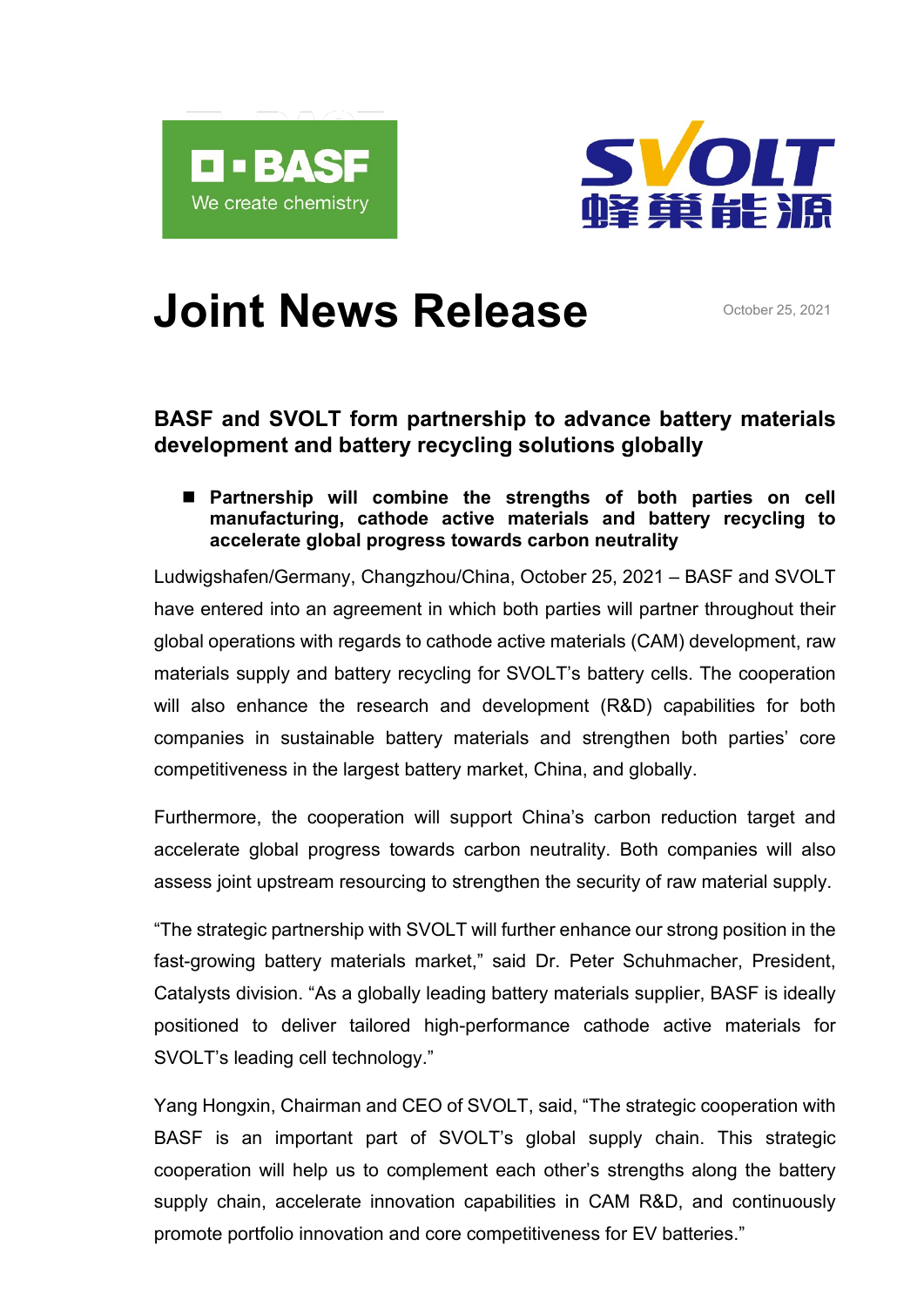



# **Joint News Release** October 25, 2021

# **BASF and SVOLT form partnership to advance battery materials development and battery recycling solutions globally**

 **Partnership will combine the strengths of both parties on cell manufacturing, cathode active materials and battery recycling to accelerate global progress towards carbon neutrality** 

Ludwigshafen/Germany, Changzhou/China, October 25, 2021 – BASF and SVOLT have entered into an agreement in which both parties will partner throughout their global operations with regards to cathode active materials (CAM) development, raw materials supply and battery recycling for SVOLT's battery cells. The cooperation will also enhance the research and development (R&D) capabilities for both companies in sustainable battery materials and strengthen both parties' core competitiveness in the largest battery market, China, and globally.

Furthermore, the cooperation will support China's carbon reduction target and accelerate global progress towards carbon neutrality. Both companies will also assess joint upstream resourcing to strengthen the security of raw material supply.

"The strategic partnership with SVOLT will further enhance our strong position in the fast-growing battery materials market," said Dr. Peter Schuhmacher, President, Catalysts division. "As a globally leading battery materials supplier, BASF is ideally positioned to deliver tailored high-performance cathode active materials for SVOLT's leading cell technology."

Yang Hongxin, Chairman and CEO of SVOLT, said, "The strategic cooperation with BASF is an important part of SVOLT's global supply chain. This strategic cooperation will help us to complement each other's strengths along the battery supply chain, accelerate innovation capabilities in CAM R&D, and continuously promote portfolio innovation and core competitiveness for EV batteries."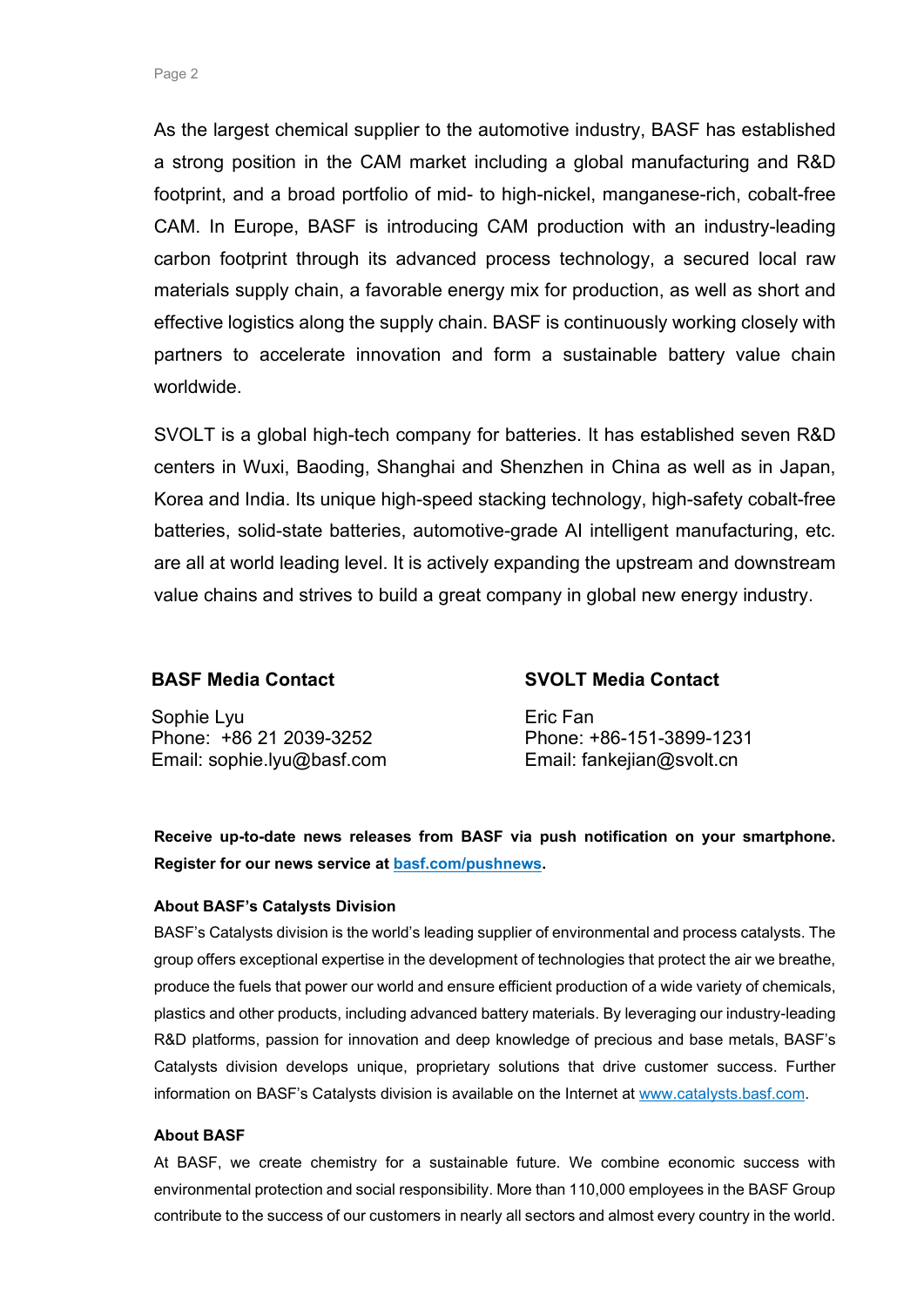As the largest chemical supplier to the automotive industry, BASF has established a strong position in the CAM market including a global manufacturing and R&D footprint, and a broad portfolio of mid- to high-nickel, manganese-rich, cobalt-free CAM. In Europe, BASF is introducing CAM production with an industry-leading carbon footprint through its advanced process technology, a secured local raw materials supply chain, a favorable energy mix for production, as well as short and effective logistics along the supply chain. BASF is continuously working closely with partners to accelerate innovation and form a sustainable battery value chain worldwide.

SVOLT is a global high-tech company for batteries. It has established seven R&D centers in Wuxi, Baoding, Shanghai and Shenzhen in China as well as in Japan, Korea and India. Its unique high-speed stacking technology, high-safety cobalt-free batteries, solid-state batteries, automotive-grade AI intelligent manufacturing, etc. are all at world leading level. It is actively expanding the upstream and downstream value chains and strives to build a great company in global new energy industry.

## **BASF Media Contact**

Sophie Lyu Phone: +86 21 2039-3252 Email: [sophie.lyu@basf.com](mailto:sophie.lyu@basf.com)

## **SVOLT Media Contact**

Eric Fan Phone: +86-151-3899-1231 Email: fankejian@svolt.cn

**Receive up-to-date news releases from BASF via push notification on your smartphone. Register for our news service at [basf.com/pushnews.](http://www.basf.com/pushnews)**

#### **About BASF's Catalysts Division**

BASF's Catalysts division is the world's leading supplier of environmental and process catalysts. The group offers exceptional expertise in the development of technologies that protect the air we breathe, produce the fuels that power our world and ensure efficient production of a wide variety of chemicals, plastics and other products, including advanced battery materials. By leveraging our industry-leading R&D platforms, passion for innovation and deep knowledge of precious and base metals, BASF's Catalysts division develops unique, proprietary solutions that drive customer success. Further information on BASF's Catalysts division is available on the Internet at [www.catalysts.basf.com.](http://www.catalysts.basf.com/)

#### **About BASF**

At BASF, we create chemistry for a sustainable future. We combine economic success with environmental protection and social responsibility. More than 110,000 employees in the BASF Group contribute to the success of our customers in nearly all sectors and almost every country in the world.